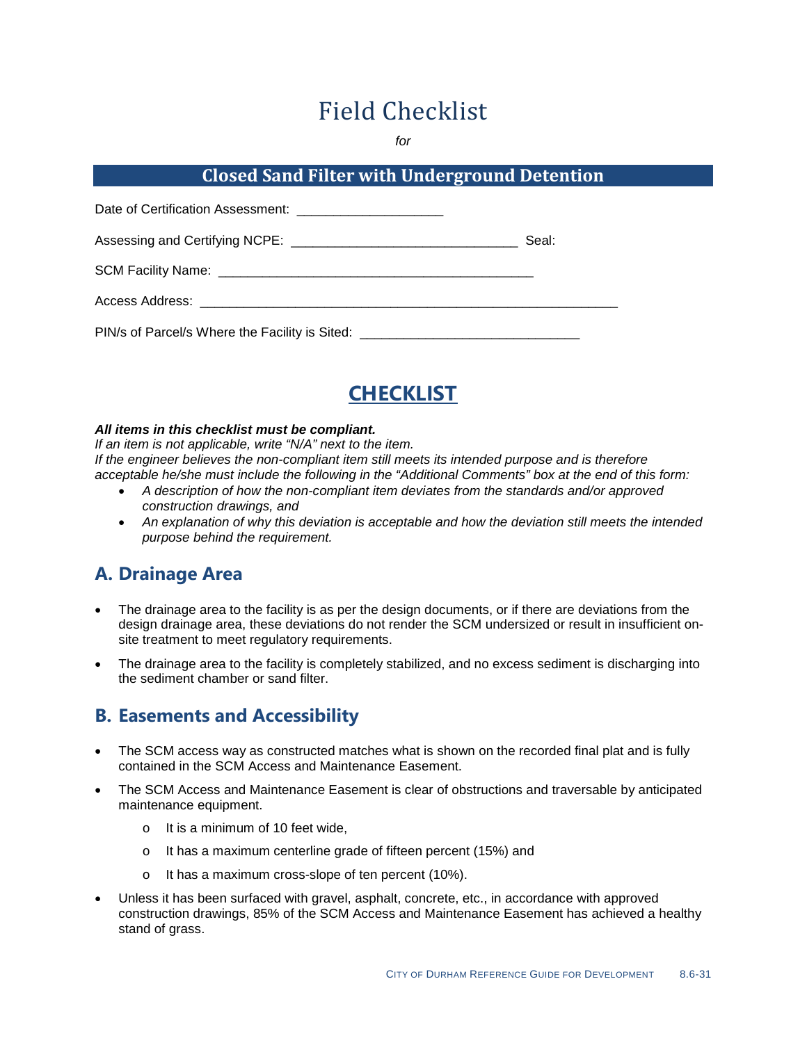# Field Checklist

*for*

#### **Closed Sand Filter with Underground Detention**

| Date of Certification Assessment: _________________________                      |       |
|----------------------------------------------------------------------------------|-------|
|                                                                                  | Seal: |
|                                                                                  |       |
|                                                                                  |       |
| PIN/s of Parcel/s Where the Facility is Sited: _________________________________ |       |



#### *All items in this checklist must be compliant.*

*If an item is not applicable, write "N/A" next to the item. If the engineer believes the non-compliant item still meets its intended purpose and is therefore acceptable he/she must include the following in the "Additional Comments" box at the end of this form:*

- *A description of how the non-compliant item deviates from the standards and/or approved construction drawings, and*
- *An explanation of why this deviation is acceptable and how the deviation still meets the intended purpose behind the requirement.*

#### **A. Drainage Area**

- The drainage area to the facility is as per the design documents, or if there are deviations from the design drainage area, these deviations do not render the SCM undersized or result in insufficient onsite treatment to meet regulatory requirements.
- The drainage area to the facility is completely stabilized, and no excess sediment is discharging into the sediment chamber or sand filter.

## **B. Easements and Accessibility**

- The SCM access way as constructed matches what is shown on the recorded final plat and is fully contained in the SCM Access and Maintenance Easement.
- The SCM Access and Maintenance Easement is clear of obstructions and traversable by anticipated maintenance equipment.
	- o It is a minimum of 10 feet wide,
	- o It has a maximum centerline grade of fifteen percent (15%) and
	- o It has a maximum cross-slope of ten percent (10%).
- Unless it has been surfaced with gravel, asphalt, concrete, etc., in accordance with approved construction drawings, 85% of the SCM Access and Maintenance Easement has achieved a healthy stand of grass.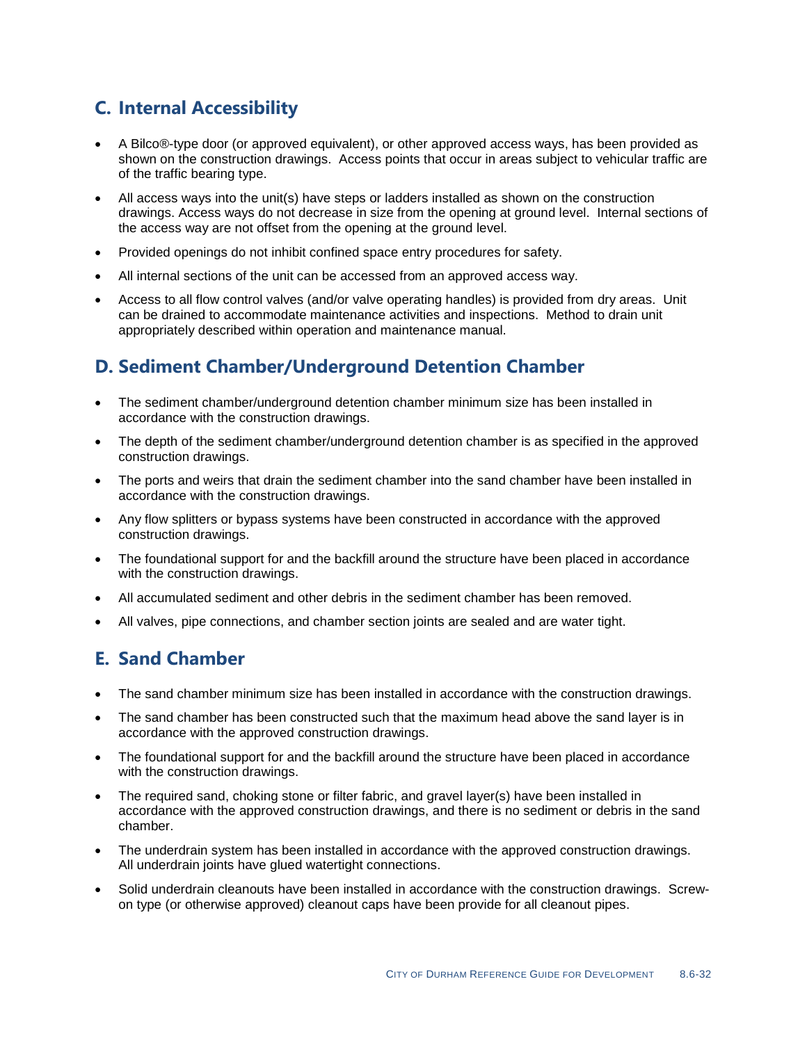# **C. Internal Accessibility**

- A Bilco®-type door (or approved equivalent), or other approved access ways, has been provided as shown on the construction drawings. Access points that occur in areas subject to vehicular traffic are of the traffic bearing type.
- All access ways into the unit(s) have steps or ladders installed as shown on the construction drawings. Access ways do not decrease in size from the opening at ground level. Internal sections of the access way are not offset from the opening at the ground level.
- Provided openings do not inhibit confined space entry procedures for safety.
- All internal sections of the unit can be accessed from an approved access way.
- Access to all flow control valves (and/or valve operating handles) is provided from dry areas. Unit can be drained to accommodate maintenance activities and inspections. Method to drain unit appropriately described within operation and maintenance manual.

### **D. Sediment Chamber/Underground Detention Chamber**

- The sediment chamber/underground detention chamber minimum size has been installed in accordance with the construction drawings.
- The depth of the sediment chamber/underground detention chamber is as specified in the approved construction drawings.
- The ports and weirs that drain the sediment chamber into the sand chamber have been installed in accordance with the construction drawings.
- Any flow splitters or bypass systems have been constructed in accordance with the approved construction drawings.
- The foundational support for and the backfill around the structure have been placed in accordance with the construction drawings.
- All accumulated sediment and other debris in the sediment chamber has been removed.
- All valves, pipe connections, and chamber section joints are sealed and are water tight.

#### **E. Sand Chamber**

- The sand chamber minimum size has been installed in accordance with the construction drawings.
- The sand chamber has been constructed such that the maximum head above the sand layer is in accordance with the approved construction drawings.
- The foundational support for and the backfill around the structure have been placed in accordance with the construction drawings.
- The required sand, choking stone or filter fabric, and gravel layer(s) have been installed in accordance with the approved construction drawings, and there is no sediment or debris in the sand chamber.
- The underdrain system has been installed in accordance with the approved construction drawings. All underdrain joints have glued watertight connections.
- Solid underdrain cleanouts have been installed in accordance with the construction drawings. Screwon type (or otherwise approved) cleanout caps have been provide for all cleanout pipes.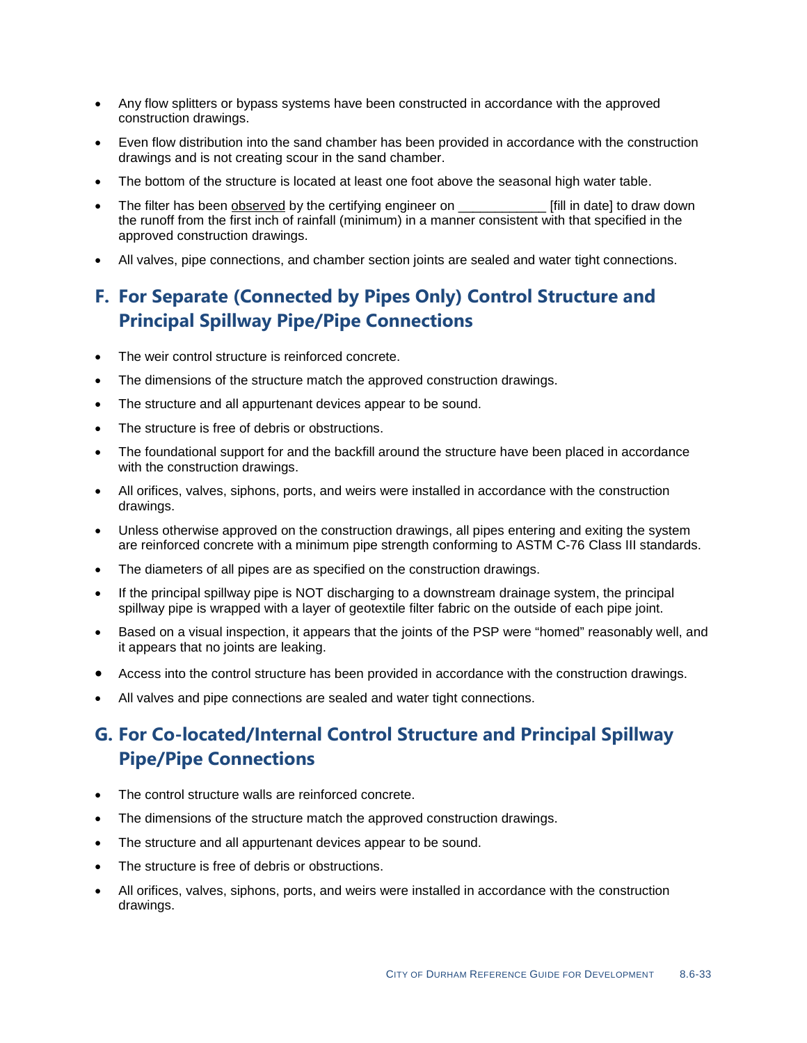- Any flow splitters or bypass systems have been constructed in accordance with the approved construction drawings.
- Even flow distribution into the sand chamber has been provided in accordance with the construction drawings and is not creating scour in the sand chamber.
- The bottom of the structure is located at least one foot above the seasonal high water table.
- The filter has been observed by the certifying engineer on \_\_\_\_\_\_\_\_\_\_\_\_\_\_\_\_\_\_\_\_\_\_ [fill in date] to draw down the runoff from the first inch of rainfall (minimum) in a manner consistent with that specified in the approved construction drawings.
- All valves, pipe connections, and chamber section joints are sealed and water tight connections.

# **F. For Separate (Connected by Pipes Only) Control Structure and Principal Spillway Pipe/Pipe Connections**

- The weir control structure is reinforced concrete.
- The dimensions of the structure match the approved construction drawings.
- The structure and all appurtenant devices appear to be sound.
- The structure is free of debris or obstructions.
- The foundational support for and the backfill around the structure have been placed in accordance with the construction drawings.
- All orifices, valves, siphons, ports, and weirs were installed in accordance with the construction drawings.
- Unless otherwise approved on the construction drawings, all pipes entering and exiting the system are reinforced concrete with a minimum pipe strength conforming to ASTM C-76 Class III standards.
- The diameters of all pipes are as specified on the construction drawings.
- If the principal spillway pipe is NOT discharging to a downstream drainage system, the principal spillway pipe is wrapped with a layer of geotextile filter fabric on the outside of each pipe joint.
- Based on a visual inspection, it appears that the joints of the PSP were "homed" reasonably well, and it appears that no joints are leaking.
- Access into the control structure has been provided in accordance with the construction drawings.
- All valves and pipe connections are sealed and water tight connections.

# **G. For Co-located/Internal Control Structure and Principal Spillway Pipe/Pipe Connections**

- The control structure walls are reinforced concrete.
- The dimensions of the structure match the approved construction drawings.
- The structure and all appurtenant devices appear to be sound.
- The structure is free of debris or obstructions.
- All orifices, valves, siphons, ports, and weirs were installed in accordance with the construction drawings.